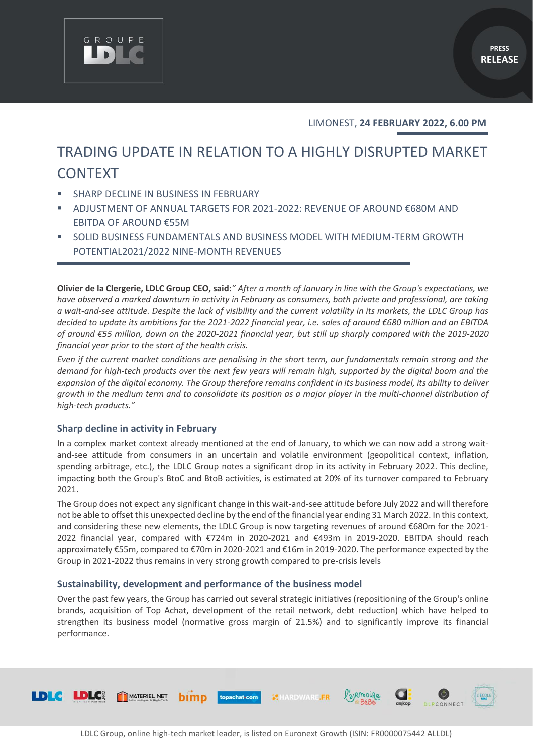

LIMONEST, **24 FEBRUARY 2022, 6.00 PM**

# TRADING UPDATE IN RELATION TO A HIGHLY DISRUPTED MARKET **CONTEXT**

SHARP DECLINE IN BUSINESS IN FEBRUARY

GROUPE

- ADJUSTMENT OF ANNUAL TARGETS FOR 2021-2022: REVENUE OF AROUND €680M AND EBITDA OF AROUND €55M
- SOLID BUSINESS FUNDAMENTALS AND BUSINESS MODEL WITH MEDIUM-TERM GROWTH POTENTIAL2021/2022 NINE-MONTH REVENUES

**Olivier de la Clergerie, LDLC Group CEO, said:***" After a month of January in line with the Group's expectations, we have observed a marked downturn in activity in February as consumers, both private and professional, are taking a wait-and-see attitude. Despite the lack of visibility and the current volatility in its markets, the LDLC Group has decided to update its ambitions for the 2021-2022 financial year, i.e. sales of around €680 million and an EBITDA of around €55 million, down on the 2020-2021 financial year, but still up sharply compared with the 2019-2020 financial year prior to the start of the health crisis.* 

*Even if the current market conditions are penalising in the short term, our fundamentals remain strong and the demand for high-tech products over the next few years will remain high, supported by the digital boom and the expansion of the digital economy. The Group therefore remains confident in its business model, its ability to deliver growth in the medium term and to consolidate its position as a major player in the multi-channel distribution of high-tech products."*

## **Sharp decline in activity in February**

In a complex market context already mentioned at the end of January, to which we can now add a strong waitand-see attitude from consumers in an uncertain and volatile environment (geopolitical context, inflation, spending arbitrage, etc.), the LDLC Group notes a significant drop in its activity in February 2022. This decline, impacting both the Group's BtoC and BtoB activities, is estimated at 20% of its turnover compared to February 2021.

The Group does not expect any significant change in this wait-and-see attitude before July 2022 and will therefore not be able to offset this unexpected decline by the end of the financial year ending 31 March 2022. In this context, and considering these new elements, the LDLC Group is now targeting revenues of around €680m for the 2021- 2022 financial year, compared with €724m in 2020-2021 and €493m in 2019-2020. EBITDA should reach approximately €55m, compared to €70m in 2020-2021 and €16m in 2019-2020. The performance expected by the Group in 2021-2022 thus remains in very strong growth compared to pre-crisis levels

#### **Sustainability, development and performance of the business model**

Over the past few years, the Group has carried out several strategic initiatives (repositioning of the Group's online brands, acquisition of Top Achat, development of the retail network, debt reduction) which have helped to strengthen its business model (normative gross margin of 21.5%) and to significantly improve its financial performance.